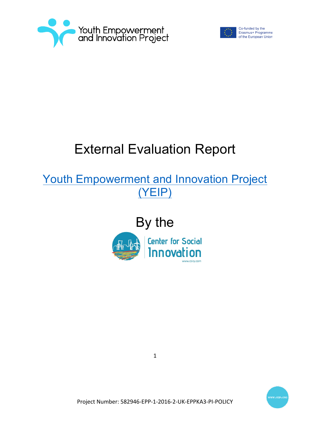



Co-funded by the Erasmus+ Programme of the European Union

# External Evaluation Report

Youth Empowerment and Innovation Project (YEIP)







Project Number: 582946-EPP-1-2016-2-UK-EPPKA3-PI-POLICY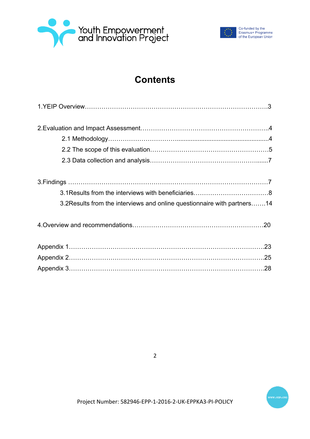



# **Contents**

| 3.2 Results from the interviews and online questionnaire with partners 14 |  |
|---------------------------------------------------------------------------|--|
|                                                                           |  |
|                                                                           |  |
|                                                                           |  |
|                                                                           |  |
|                                                                           |  |
|                                                                           |  |



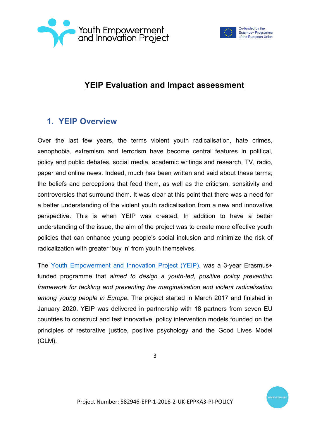



# **YEIP Evaluation and Impact assessment**

# **1. YEIP Overview**

Over the last few years, the terms violent youth radicalisation, hate crimes, xenophobia, extremism and terrorism have become central features in political, policy and public debates, social media, academic writings and research, TV, radio, paper and online news. Indeed, much has been written and said about these terms; the beliefs and perceptions that feed them, as well as the criticism, sensitivity and controversies that surround them. It was clear at this point that there was a need for a better understanding of the violent youth radicalisation from a new and innovative perspective. This is when YEIP was created. In addition to have a better understanding of the issue, the aim of the project was to create more effective youth policies that can enhance young people's social inclusion and minimize the risk of radicalization with greater 'buy in' from youth themselves.

The Youth Empowerment and Innovation Project (YEIP). was a 3-year Erasmus+ funded programme that *aimed to design a youth-led, positive policy prevention framework for tackling and preventing the marginalisation and violent radicalisation among young people in Europe.* The project started in March 2017 and finished in January 2020. YEIP was delivered in partnership with 18 partners from seven EU countries to construct and test innovative, policy intervention models founded on the principles of restorative justice, positive psychology and the Good Lives Model (GLM).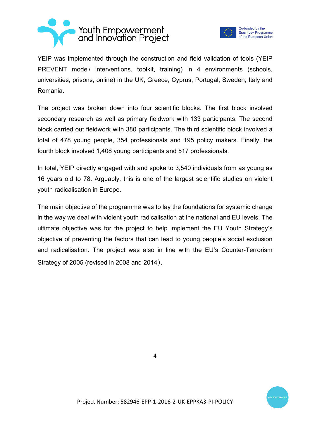



YEIP was implemented through the construction and field validation of tools (YEIP PREVENT model/ interventions, toolkit, training) in 4 environments (schools, universities, prisons, online) in the UK, Greece, Cyprus, Portugal, Sweden, Italy and Romania.

The project was broken down into four scientific blocks. The first block involved secondary research as well as primary fieldwork with 133 participants. The second block carried out fieldwork with 380 participants. The third scientific block involved a total of 478 young people, 354 professionals and 195 policy makers. Finally, the fourth block involved 1,408 young participants and 517 professionals.

In total, YEIP directly engaged with and spoke to 3,540 individuals from as young as 16 years old to 78. Arguably, this is one of the largest scientific studies on violent youth radicalisation in Europe.

The main objective of the programme was to lay the foundations for systemic change in the way we deal with violent youth radicalisation at the national and EU levels. The ultimate objective was for the project to help implement the EU Youth Strategy's objective of preventing the factors that can lead to young people's social exclusion and radicalisation. The project was also in line with the EU's Counter-Terrorism Strategy of 2005 (revised in 2008 and 2014).



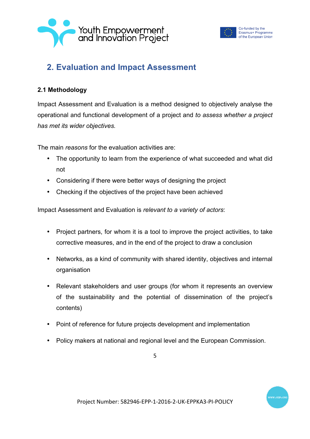



# **2. Evaluation and Impact Assessment**

#### **2.1 Methodology**

Impact Assessment and Evaluation is a method designed to objectively analyse the operational and functional development of a project and *to assess whether a project has met its wider objectives.*

The main *reasons* for the evaluation activities are:

- The opportunity to learn from the experience of what succeeded and what did not
- Considering if there were better ways of designing the project
- Checking if the objectives of the project have been achieved

Impact Assessment and Evaluation is *relevant to a variety of actors*:

- Project partners, for whom it is a tool to improve the project activities, to take corrective measures, and in the end of the project to draw a conclusion
- Networks, as a kind of community with shared identity, objectives and internal organisation
- Relevant stakeholders and user groups (for whom it represents an overview of the sustainability and the potential of dissemination of the project's contents)
- Point of reference for future projects development and implementation
- Policy makers at national and regional level and the European Commission.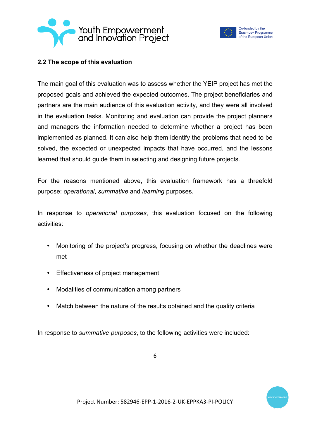



#### **2.2 The scope of this evaluation**

The main goal of this evaluation was to assess whether the YEIP project has met the proposed goals and achieved the expected outcomes. The project beneficiaries and partners are the main audience of this evaluation activity, and they were all involved in the evaluation tasks. Monitoring and evaluation can provide the project planners and managers the information needed to determine whether a project has been implemented as planned. It can also help them identify the problems that need to be solved, the expected or unexpected impacts that have occurred, and the lessons learned that should guide them in selecting and designing future projects.

For the reasons mentioned above, this evaluation framework has a threefold purpose: *operational*, *summative* and *learning* purposes.

In response to *operational purposes*, this evaluation focused on the following activities:

- Monitoring of the project's progress, focusing on whether the deadlines were met
- Effectiveness of project management
- Modalities of communication among partners
- Match between the nature of the results obtained and the quality criteria

In response to *summative purposes*, to the following activities were included: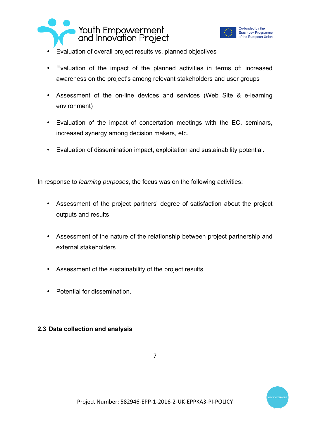



- Evaluation of overall project results vs. planned objectives
- Evaluation of the impact of the planned activities in terms of: increased awareness on the project's among relevant stakeholders and user groups
- Assessment of the on-line devices and services (Web Site & e-learning environment)
- Evaluation of the impact of concertation meetings with the EC, seminars, increased synergy among decision makers, etc.
- Evaluation of dissemination impact, exploitation and sustainability potential.

In response to *learning purposes*, the focus was on the following activities:

- Assessment of the project partners' degree of satisfaction about the project outputs and results
- Assessment of the nature of the relationship between project partnership and external stakeholders
- Assessment of the sustainability of the project results
- Potential for dissemination.

#### **2.3 Data collection and analysis**

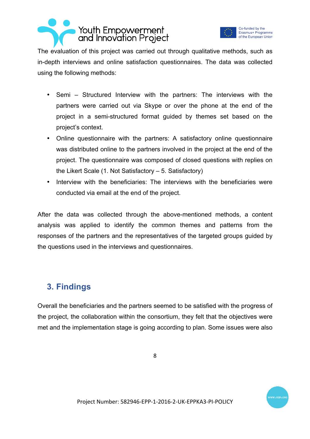



The evaluation of this project was carried out through qualitative methods, such as in-depth interviews and online satisfaction questionnaires. The data was collected using the following methods:

- Semi Structured Interview with the partners: The interviews with the partners were carried out via Skype or over the phone at the end of the project in a semi-structured format guided by themes set based on the project's context.
- Online questionnaire with the partners: A satisfactory online questionnaire was distributed online to the partners involved in the project at the end of the project. The questionnaire was composed of closed questions with replies on the Likert Scale (1. Not Satisfactory – 5. Satisfactory)
- Interview with the beneficiaries: The interviews with the beneficiaries were conducted via email at the end of the project.

After the data was collected through the above-mentioned methods, a content analysis was applied to identify the common themes and patterns from the responses of the partners and the representatives of the targeted groups guided by the questions used in the interviews and questionnaires.

# **3. Findings**

Overall the beneficiaries and the partners seemed to be satisfied with the progress of the project, the collaboration within the consortium, they felt that the objectives were met and the implementation stage is going according to plan. Some issues were also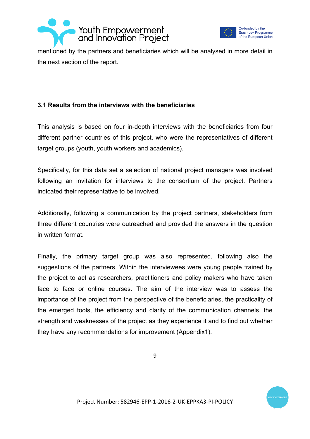



mentioned by the partners and beneficiaries which will be analysed in more detail in the next section of the report.

#### **3.1 Results from the interviews with the beneficiaries**

This analysis is based on four in-depth interviews with the beneficiaries from four different partner countries of this project, who were the representatives of different target groups (youth, youth workers and academics).

Specifically, for this data set a selection of national project managers was involved following an invitation for interviews to the consortium of the project. Partners indicated their representative to be involved.

Additionally, following a communication by the project partners, stakeholders from three different countries were outreached and provided the answers in the question in written format.

Finally, the primary target group was also represented, following also the suggestions of the partners. Within the interviewees were young people trained by the project to act as researchers, practitioners and policy makers who have taken face to face or online courses. The aim of the interview was to assess the importance of the project from the perspective of the beneficiaries, the practicality of the emerged tools, the efficiency and clarity of the communication channels, the strength and weaknesses of the project as they experience it and to find out whether they have any recommendations for improvement (Appendix1).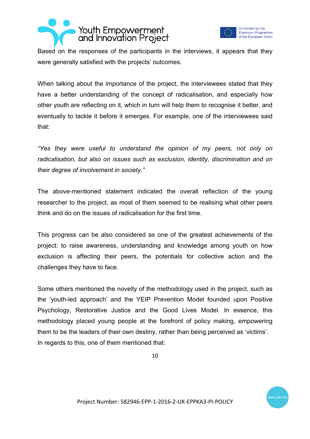



Based on the responses of the participants in the interviews, it appears that they were generally satisfied with the projects' outcomes.

When talking about the importance of the project, the interviewees stated that they have a better understanding of the concept of radicalisation, and especially how other youth are reflecting on it, which in turn will help them to recognise it better, and eventually to tackle it before it emerges. For example, one of the interviewees said that:

*"Yes they were useful to understand the opinion of my peers, not only on radicalisation, but also on issues such as exclusion, identity, discrimination and on their degree of involvement in society."*

The above-mentioned statement indicated the overall reflection of the young researcher to the project, as most of them seemed to be realising what other peers think and do on the issues of radicalisation for the first time.

This progress can be also considered as one of the greatest achievements of the project: to raise awareness, understanding and knowledge among youth on how exclusion is affecting their peers, the potentials for collective action and the challenges they have to face.

Some others mentioned the novelty of the methodology used in the project, such as the 'youth-led approach' and the YEIP Prevention Model founded upon Positive Psychology, Restorative Justice and the Good Lives Model. In essence, this methodology placed young people at the forefront of policy making, empowering them to be the leaders of their own destiny, rather than being perceived as 'victims'. In regards to this, one of them mentioned that: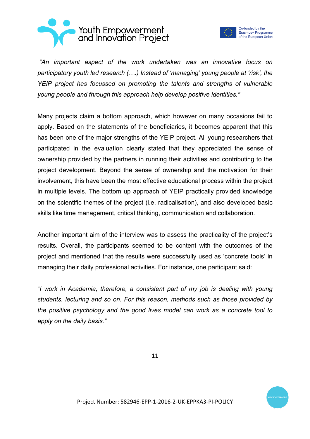



*"An important aspect of the work undertaken was an innovative focus on participatory youth led research (….) Instead of 'managing' young people at 'risk', the YEIP project has focussed on promoting the talents and strengths of vulnerable young people and through this approach help develop positive identities."*

Many projects claim a bottom approach, which however on many occasions fail to apply. Based on the statements of the beneficiaries, it becomes apparent that this has been one of the major strengths of the YEIP project. All young researchers that participated in the evaluation clearly stated that they appreciated the sense of ownership provided by the partners in running their activities and contributing to the project development. Beyond the sense of ownership and the motivation for their involvement, this have been the most effective educational process within the project in multiple levels. The bottom up approach of YEIP practically provided knowledge on the scientific themes of the project (i.e. radicalisation), and also developed basic skills like time management, critical thinking, communication and collaboration.

Another important aim of the interview was to assess the practicality of the project's results. Overall, the participants seemed to be content with the outcomes of the project and mentioned that the results were successfully used as 'concrete tools' in managing their daily professional activities. For instance, one participant said:

"*I work in Academia, therefore, a consistent part of my job is dealing with young students, lecturing and so on. For this reason, methods such as those provided by the positive psychology and the good lives model can work as a concrete tool to apply on the daily basis."*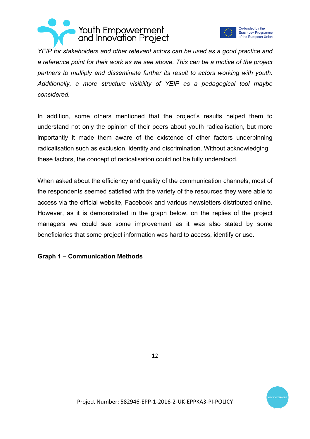



Co-funded by the Erasmus+ Programme of the European Union

*YEIP for stakeholders and other relevant actors can be used as a good practice and a reference point for their work as we see above. This can be a motive of the project partners to multiply and disseminate further its result to actors working with youth. Additionally, a more structure visibility of YEIP as a pedagogical tool maybe considered.*

In addition, some others mentioned that the project's results helped them to understand not only the opinion of their peers about youth radicalisation, but more importantly it made them aware of the existence of other factors underpinning radicalisation such as exclusion, identity and discrimination. Without acknowledging these factors, the concept of radicalisation could not be fully understood.

When asked about the efficiency and quality of the communication channels, most of the respondents seemed satisfied with the variety of the resources they were able to access via the official website, Facebook and various newsletters distributed online. However, as it is demonstrated in the graph below, on the replies of the project managers we could see some improvement as it was also stated by some beneficiaries that some project information was hard to access, identify or use.

#### **Graph 1 – Communication Methods**

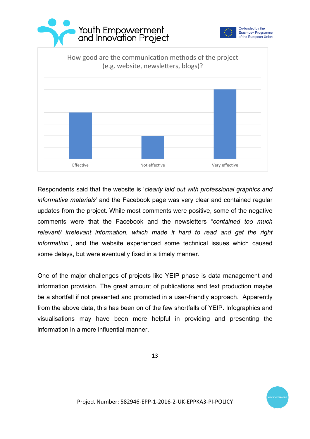





Respondents said that the website is '*clearly laid out with professional graphics and informative materials*' and the Facebook page was very clear and contained regular updates from the project. While most comments were positive, some of the negative comments were that the Facebook and the newsletters "*contained too much relevant/ irrelevant information, which made it hard to read and get the right information*", and the website experienced some technical issues which caused some delays, but were eventually fixed in a timely manner.

One of the major challenges of projects like YEIP phase is data management and information provision. The great amount of publications and text production maybe be a shortfall if not presented and promoted in a user-friendly approach. Apparently from the above data, this has been on of the few shortfalls of YEIP. Infographics and visualisations may have been more helpful in providing and presenting the information in a more influential manner.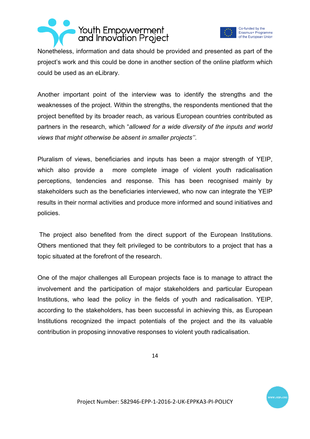



Nonetheless, information and data should be provided and presented as part of the project's work and this could be done in another section of the online platform which could be used as an eLibrary.

Another important point of the interview was to identify the strengths and the weaknesses of the project. Within the strengths, the respondents mentioned that the project benefited by its broader reach, as various European countries contributed as partners in the research, which "*allowed for a wide diversity of the inputs and world views that might otherwise be absent in smaller projects''*.

Pluralism of views, beneficiaries and inputs has been a major strength of YEIP, which also provide a more complete image of violent youth radicalisation perceptions, tendencies and response. This has been recognised mainly by stakeholders such as the beneficiaries interviewed, who now can integrate the YEIP results in their normal activities and produce more informed and sound initiatives and policies.

The project also benefited from the direct support of the European Institutions. Others mentioned that they felt privileged to be contributors to a project that has a topic situated at the forefront of the research.

One of the major challenges all European projects face is to manage to attract the involvement and the participation of major stakeholders and particular European Institutions, who lead the policy in the fields of youth and radicalisation. YEIP, according to the stakeholders, has been successful in achieving this, as European Institutions recognized the impact potentials of the project and the its valuable contribution in proposing innovative responses to violent youth radicalisation.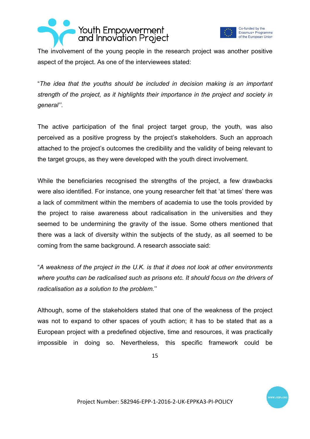



The involvement of the young people in the research project was another positive aspect of the project. As one of the interviewees stated:

"*The idea that the youths should be included in decision making is an important strength of the project, as it highlights their importance in the project and society in general''*.

The active participation of the final project target group, the youth, was also perceived as a positive progress by the project's stakeholders. Such an approach attached to the project's outcomes the credibility and the validity of being relevant to the target groups, as they were developed with the youth direct involvement.

While the beneficiaries recognised the strengths of the project, a few drawbacks were also identified. For instance, one young researcher felt that 'at times' there was a lack of commitment within the members of academia to use the tools provided by the project to raise awareness about radicalisation in the universities and they seemed to be undermining the gravity of the issue. Some others mentioned that there was a lack of diversity within the subjects of the study, as all seemed to be coming from the same background. A research associate said:

"*A weakness of the project in the U.K. is that it does not look at other environments where youths can be radicalised such as prisons etc. It should focus on the drivers of radicalisation as a solution to the problem.*''

Although, some of the stakeholders stated that one of the weakness of the project was not to expand to other spaces of youth action; it has to be stated that as a European project with a predefined objective, time and resources, it was practically impossible in doing so. Nevertheless, this specific framework could be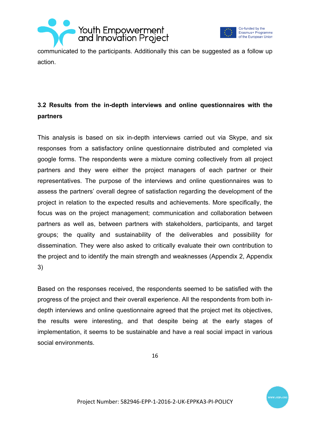



communicated to the participants. Additionally this can be suggested as a follow up action.

### **3.2 Results from the in-depth interviews and online questionnaires with the partners**

This analysis is based on six in-depth interviews carried out via Skype, and six responses from a satisfactory online questionnaire distributed and completed via google forms. The respondents were a mixture coming collectively from all project partners and they were either the project managers of each partner or their representatives. The purpose of the interviews and online questionnaires was to assess the partners' overall degree of satisfaction regarding the development of the project in relation to the expected results and achievements. More specifically, the focus was on the project management; communication and collaboration between partners as well as, between partners with stakeholders, participants, and target groups; the quality and sustainability of the deliverables and possibility for dissemination. They were also asked to critically evaluate their own contribution to the project and to identify the main strength and weaknesses (Appendix 2, Appendix 3)

Based on the responses received, the respondents seemed to be satisfied with the progress of the project and their overall experience. All the respondents from both indepth interviews and online questionnaire agreed that the project met its objectives, the results were interesting, and that despite being at the early stages of implementation, it seems to be sustainable and have a real social impact in various social environments.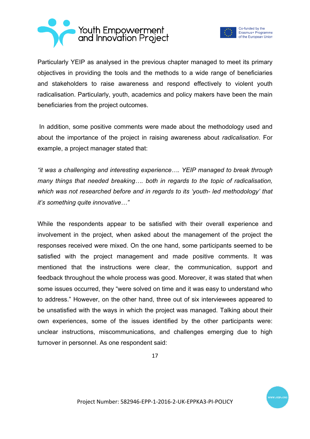



Co-funded by the Erasmus+ Programme of the European Union

Particularly YEIP as analysed in the previous chapter managed to meet its primary objectives in providing the tools and the methods to a wide range of beneficiaries and stakeholders to raise awareness and respond effectively to violent youth radicalisation. Particularly, youth, academics and policy makers have been the main beneficiaries from the project outcomes.

In addition, some positive comments were made about the methodology used and about the importance of the project in raising awareness about *radicalisation*. For example, a project manager stated that:

*"it was a challenging and interesting experience…. YEIP managed to break through many things that needed breaking…. both in regards to the topic of radicalisation, which was not researched before and in regards to its 'youth- led methodology' that it's something quite innovative…"*

While the respondents appear to be satisfied with their overall experience and involvement in the project, when asked about the management of the project the responses received were mixed. On the one hand, some participants seemed to be satisfied with the project management and made positive comments. It was mentioned that the instructions were clear, the communication, support and feedback throughout the whole process was good. Moreover, it was stated that when some issues occurred, they "were solved on time and it was easy to understand who to address." However, on the other hand, three out of six interviewees appeared to be unsatisfied with the ways in which the project was managed. Talking about their own experiences, some of the issues identified by the other participants were: unclear instructions, miscommunications, and challenges emerging due to high turnover in personnel. As one respondent said: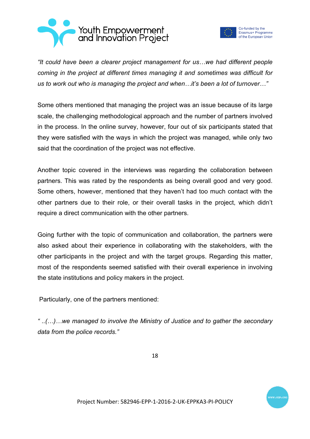



Co-funded by the Erasmus+ Programme of the European Union

*"It could have been a clearer project management for us…we had different people coming in the project at different times managing it and sometimes was difficult for us to work out who is managing the project and when…it's been a lot of turnover…"* 

Some others mentioned that managing the project was an issue because of its large scale, the challenging methodological approach and the number of partners involved in the process. In the online survey, however, four out of six participants stated that they were satisfied with the ways in which the project was managed, while only two said that the coordination of the project was not effective.

Another topic covered in the interviews was regarding the collaboration between partners. This was rated by the respondents as being overall good and very good. Some others, however, mentioned that they haven't had too much contact with the other partners due to their role, or their overall tasks in the project, which didn't require a direct communication with the other partners.

Going further with the topic of communication and collaboration, the partners were also asked about their experience in collaborating with the stakeholders, with the other participants in the project and with the target groups. Regarding this matter, most of the respondents seemed satisfied with their overall experience in involving the state institutions and policy makers in the project.

Particularly, one of the partners mentioned:

*" ..(…)…we managed to involve the Ministry of Justice and to gather the secondary data from the police records."*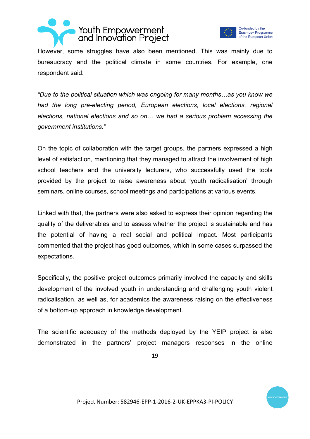



However, some struggles have also been mentioned. This was mainly due to bureaucracy and the political climate in some countries. For example, one respondent said:

*"Due to the political situation which was ongoing for many months…as you know we had the long pre-electing period, European elections, local elections, regional elections, national elections and so on… we had a serious problem accessing the government institutions."* 

On the topic of collaboration with the target groups, the partners expressed a high level of satisfaction, mentioning that they managed to attract the involvement of high school teachers and the university lecturers, who successfully used the tools provided by the project to raise awareness about 'youth radicalisation' through seminars, online courses, school meetings and participations at various events.

Linked with that, the partners were also asked to express their opinion regarding the quality of the deliverables and to assess whether the project is sustainable and has the potential of having a real social and political impact. Most participants commented that the project has good outcomes, which in some cases surpassed the expectations.

Specifically, the positive project outcomes primarily involved the capacity and skills development of the involved youth in understanding and challenging youth violent radicalisation, as well as, for academics the awareness raising on the effectiveness of a bottom-up approach in knowledge development.

The scientific adequacy of the methods deployed by the YEIP project is also demonstrated in the partners' project managers responses in the online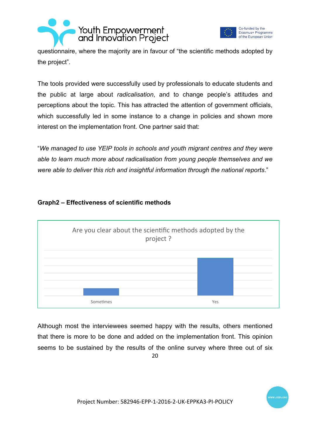



questionnaire, where the majority are in favour of "the scientific methods adopted by the project".

The tools provided were successfully used by professionals to educate students and the public at large about *radicalisation*, and to change people's attitudes and perceptions about the topic. This has attracted the attention of government officials, which successfully led in some instance to a change in policies and shown more interest on the implementation front. One partner said that:

"*We managed to use YEIP tools in schools and youth migrant centres and they were able to learn much more about radicalisation from young people themselves and we were able to deliver this rich and insightful information through the national reports*."



#### **Graph2 – Effectiveness of scientific methods**

20 Although most the interviewees seemed happy with the results, others mentioned that there is more to be done and added on the implementation front. This opinion seems to be sustained by the results of the online survey where three out of six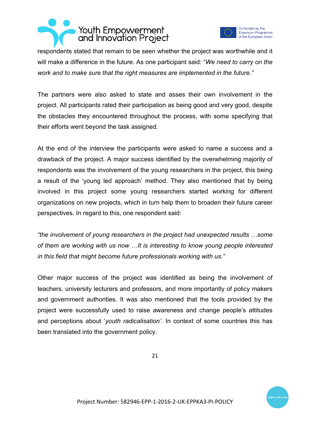



respondents stated that remain to be seen whether the project was worthwhile and it will make a difference in the future. As one participant said: "*We need to carry on the work and to make sure that the right measures are implemented in the future."*

The partners were also asked to state and asses their own involvement in the project. All participants rated their participation as being good and very good, despite the obstacles they encountered throughout the process, with some specifying that their efforts went beyond the task assigned.

At the end of the interview the participants were asked to name a success and a drawback of the project. A major success identified by the overwhelming majority of respondents was the involvement of the young researchers in the project, this being a result of the 'young led approach' method. They also mentioned that by being involved in this project some young researchers started working for different organizations on new projects, which in turn help them to broaden their future career perspectives. In regard to this, one respondent said:

*"the involvement of young researchers in the project had unexpected results …some of them are working with us now …It is interesting to know young people interested in this field that might become future professionals working with us."* 

Other major success of the project was identified as being the involvement of teachers, university lecturers and professors, and more importantly of policy makers and government authorities. It was also mentioned that the tools provided by the project were successfully used to raise awareness and change people's attitudes and perceptions about '*youth radicalisation'*. In context of some countries this has been translated into the government policy.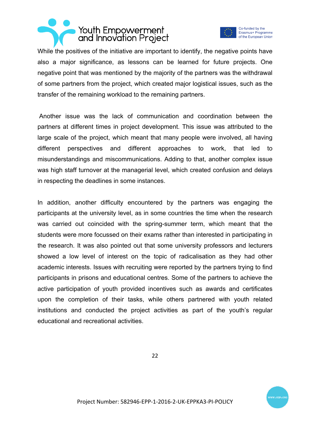



While the positives of the initiative are important to identify, the negative points have also a major significance, as lessons can be learned for future projects. One negative point that was mentioned by the majority of the partners was the withdrawal of some partners from the project, which created major logistical issues, such as the transfer of the remaining workload to the remaining partners.

Another issue was the lack of communication and coordination between the partners at different times in project development. This issue was attributed to the large scale of the project, which meant that many people were involved, all having different perspectives and different approaches to work, that led to misunderstandings and miscommunications. Adding to that, another complex issue was high staff turnover at the managerial level, which created confusion and delays in respecting the deadlines in some instances.

In addition, another difficulty encountered by the partners was engaging the participants at the university level, as in some countries the time when the research was carried out coincided with the spring-summer term, which meant that the students were more focussed on their exams rather than interested in participating in the research. It was also pointed out that some university professors and lecturers showed a low level of interest on the topic of radicalisation as they had other academic interests. Issues with recruiting were reported by the partners trying to find participants in prisons and educational centres. Some of the partners to achieve the active participation of youth provided incentives such as awards and certificates upon the completion of their tasks, while others partnered with youth related institutions and conducted the project activities as part of the youth's regular educational and recreational activities.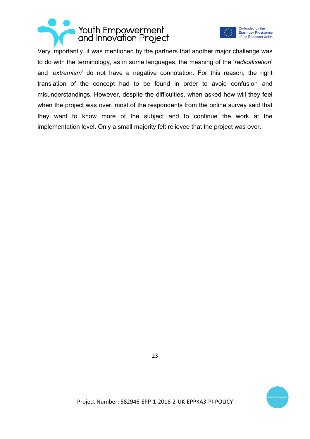



Very importantly, it was mentioned by the partners that another major challenge was to do with the terminology, as in some languages, the meaning of the '*radicalisation*' and '*extremism*' do not have a negative connotation. For this reason, the right translation of the concept had to be found in order to avoid confusion and misunderstandings. However, despite the difficulties, when asked how will they feel when the project was over, most of the respondents from the online survey said that they want to know more of the subject and to continue the work at the implementation level. Only a small majority felt relieved that the project was over.



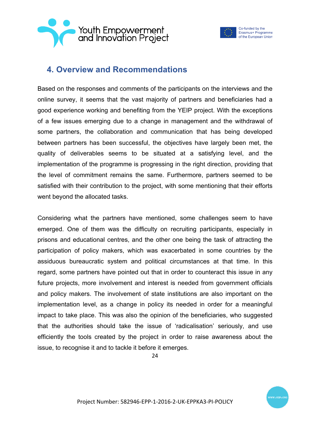



## **4. Overview and Recommendations**

Based on the responses and comments of the participants on the interviews and the online survey, it seems that the vast majority of partners and beneficiaries had a good experience working and benefiting from the YEIP project. With the exceptions of a few issues emerging due to a change in management and the withdrawal of some partners, the collaboration and communication that has being developed between partners has been successful, the objectives have largely been met, the quality of deliverables seems to be situated at a satisfying level, and the implementation of the programme is progressing in the right direction, providing that the level of commitment remains the same. Furthermore, partners seemed to be satisfied with their contribution to the project, with some mentioning that their efforts went beyond the allocated tasks.

Considering what the partners have mentioned, some challenges seem to have emerged. One of them was the difficulty on recruiting participants, especially in prisons and educational centres, and the other one being the task of attracting the participation of policy makers, which was exacerbated in some countries by the assiduous bureaucratic system and political circumstances at that time. In this regard, some partners have pointed out that in order to counteract this issue in any future projects, more involvement and interest is needed from government officials and policy makers. The involvement of state institutions are also important on the implementation level, as a change in policy its needed in order for a meaningful impact to take place. This was also the opinion of the beneficiaries, who suggested that the authorities should take the issue of 'radicalisation' seriously, and use efficiently the tools created by the project in order to raise awareness about the issue, to recognise it and to tackle it before it emerges.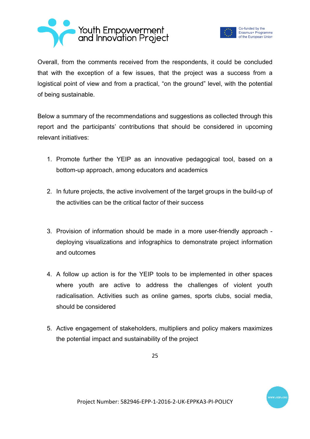



Overall, from the comments received from the respondents, it could be concluded that with the exception of a few issues, that the project was a success from a logistical point of view and from a practical, "on the ground" level, with the potential of being sustainable.

Below a summary of the recommendations and suggestions as collected through this report and the participants' contributions that should be considered in upcoming relevant initiatives:

- 1. Promote further the YEIP as an innovative pedagogical tool, based on a bottom-up approach, among educators and academics
- 2. In future projects, the active involvement of the target groups in the build-up of the activities can be the critical factor of their success
- 3. Provision of information should be made in a more user-friendly approach deploying visualizations and infographics to demonstrate project information and outcomes
- 4. A follow up action is for the YEIP tools to be implemented in other spaces where youth are active to address the challenges of violent youth radicalisation. Activities such as online games, sports clubs, social media, should be considered
- 5. Active engagement of stakeholders, multipliers and policy makers maximizes the potential impact and sustainability of the project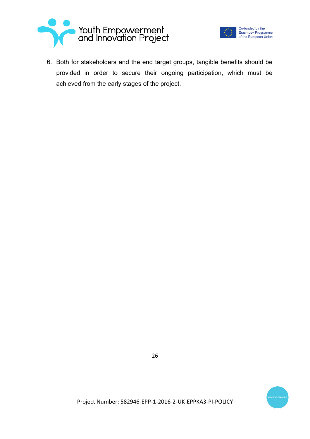



6. Both for stakeholders and the end target groups, tangible benefits should be provided in order to secure their ongoing participation, which must be achieved from the early stages of the project.

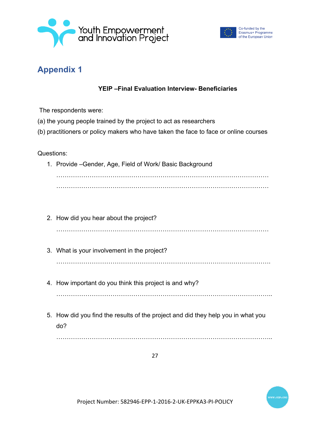



# **Appendix 1**

#### **YEIP –Final Evaluation Interview- Beneficiaries**

The respondents were:

- (a) the young people trained by the project to act as researchers
- (b) practitioners or policy makers who have taken the face to face or online courses

Questions:

- 1. Provide –Gender, Age, Field of Work/ Basic Background  $\mathcal{L}^{\text{max}}_{\text{max}}$ …………………………………………………………………………………………
- 2. How did you hear about the project? …………………………………………………………………………………………
- 3. What is your involvement in the project? ………………………………………………………………………………………….
- 4. How important do you think this project is and why?

…………………………………………………………………………………………..

5. How did you find the results of the project and did they help you in what you do?

…………………………………………………………………………………………..

27

Project Number: 582946-EPP-1-2016-2-UK-EPPKA3-PI-POLICY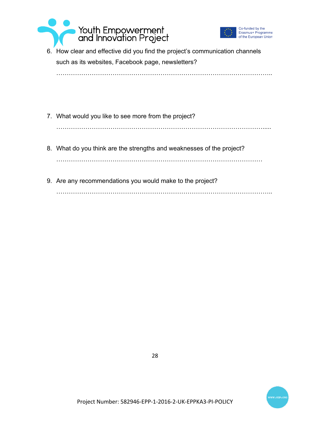



6. How clear and effective did you find the project's communication channels such as its websites, Facebook page, newsletters?

…………………………………………………………………………………………..

7. What would you like to see more from the project?

……………………………………………………………………………………….....

- 8. What do you think are the strengths and weaknesses of the project? ………………………………………………………………………………………
- 9. Are any recommendations you would make to the project? …………………………………………………………………………………………..





Project Number: 582946-EPP-1-2016-2-UK-EPPKA3-PI-POLICY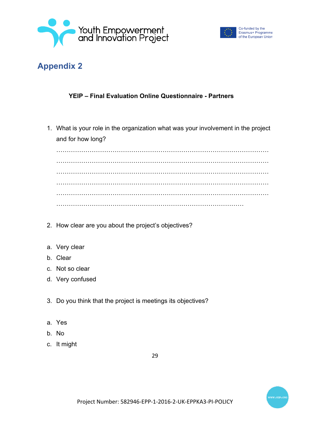



# **Appendix 2**

#### **YEIP – Final Evaluation Online Questionnaire - Partners**

1. What is your role in the organization what was your involvement in the project and for how long?

…………………………………………………………………………………………  $\mathcal{L}^{\text{max}}$ …………………………………………………………………………………………  $\mathcal{L}^{\text{max}}_{\text{max}}$  $\mathcal{L}^{\text{max}}_{\text{max}}$ ………………………………………………………………………………

- 2. How clear are you about the project's objectives?
- a. Very clear
- b. Clear
- c. Not so clear
- d. Very confused
- 3. Do you think that the project is meetings its objectives?
- a. Yes
- b. No
- c. It might

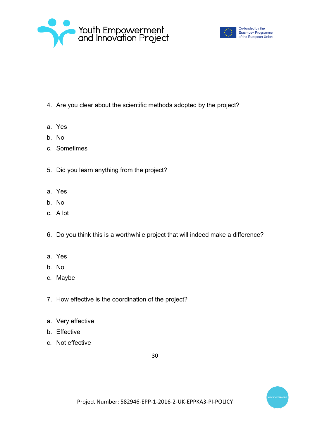



- 4. Are you clear about the scientific methods adopted by the project?
- a. Yes
- b. No
- c. Sometimes
- 5. Did you learn anything from the project?
- a. Yes
- b. No
- c. A lot
- 6. Do you think this is a worthwhile project that will indeed make a difference?
- a. Yes
- b. No
- c. Maybe
- 7. How effective is the coordination of the project?
- a. Very effective
- b. Effective
- c. Not effective

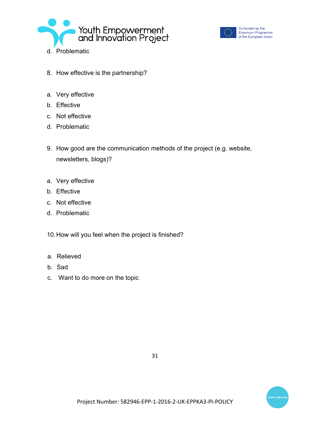



Co-funded by the Erasmus+ Programme of the European Union

- 8. How effective is the partnership?
- a. Very effective
- b. Effective
- c. Not effective
- d. Problematic
- 9. How good are the communication methods of the project (e.g. website, newsletters, blogs)?
- a. Very effective
- b. Effective
- c. Not effective
- d. Problematic
- 10.How will you feel when the project is finished?
- a. Relieved
- b. Sad
- c. Want to do more on the topic

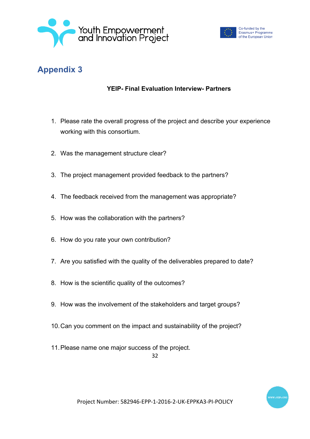



# **Appendix 3**

#### **YEIP- Final Evaluation Interview- Partners**

- 1. Please rate the overall progress of the project and describe your experience working with this consortium.
- 2. Was the management structure clear?
- 3. The project management provided feedback to the partners?
- 4. The feedback received from the management was appropriate?
- 5. How was the collaboration with the partners?
- 6. How do you rate your own contribution?
- 7. Are you satisfied with the quality of the deliverables prepared to date?
- 8. How is the scientific quality of the outcomes?
- 9. How was the involvement of the stakeholders and target groups?
- 10.Can you comment on the impact and sustainability of the project?
- 11.Please name one major success of the project.